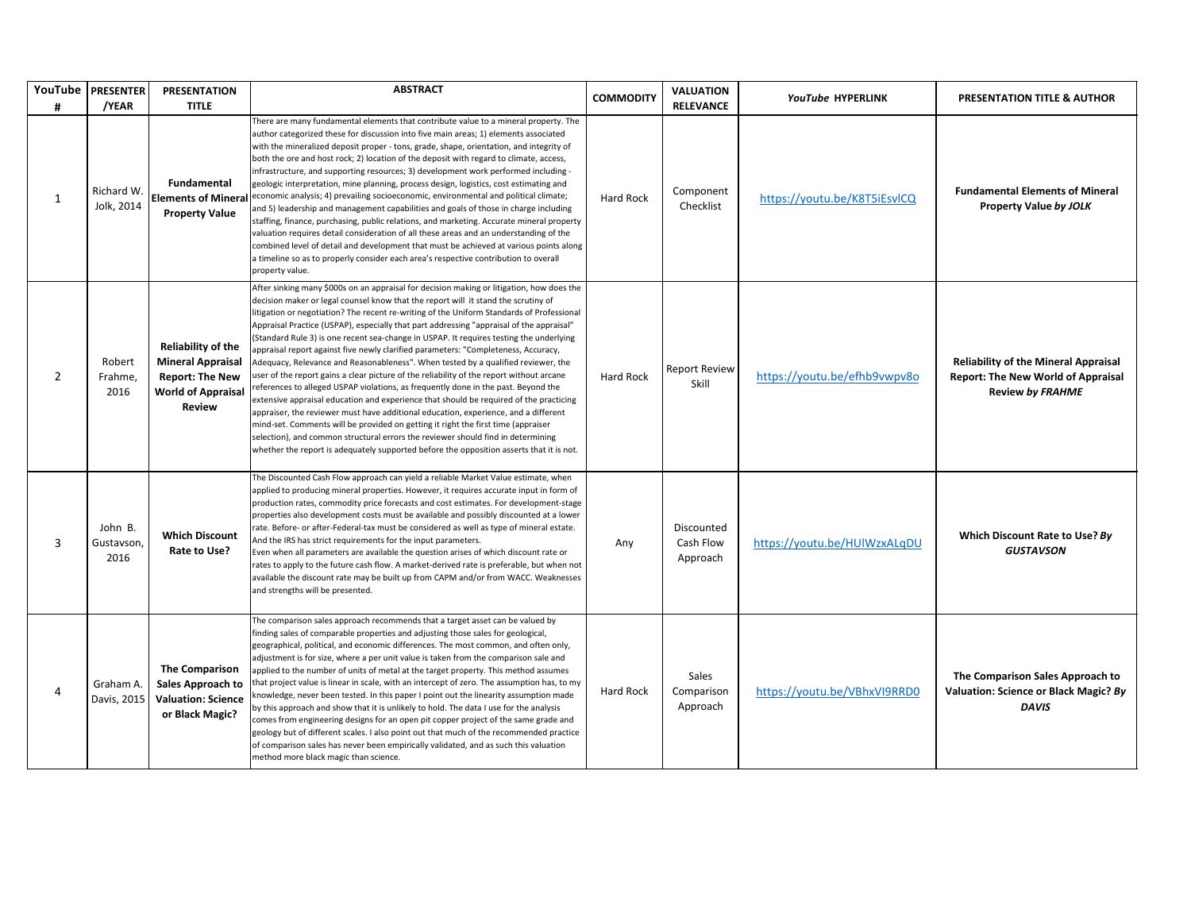|                | YouTube   PRESENTER           | <b>PRESENTATION</b>                                                                                                           | <b>ABSTRACT</b>                                                                                                                                                                                                                                                                                                                                                                                                                                                                                                                                                                                                                                                                                                                                                                                                                                                                                                                                                                                                                                                                                                                                                                                                                                                                        | <b>COMMODITY</b> | <b>VALUATION</b>                    | YouTube HYPERLINK            | <b>PRESENTATION TITLE &amp; AUTHOR</b>                                                                              |
|----------------|-------------------------------|-------------------------------------------------------------------------------------------------------------------------------|----------------------------------------------------------------------------------------------------------------------------------------------------------------------------------------------------------------------------------------------------------------------------------------------------------------------------------------------------------------------------------------------------------------------------------------------------------------------------------------------------------------------------------------------------------------------------------------------------------------------------------------------------------------------------------------------------------------------------------------------------------------------------------------------------------------------------------------------------------------------------------------------------------------------------------------------------------------------------------------------------------------------------------------------------------------------------------------------------------------------------------------------------------------------------------------------------------------------------------------------------------------------------------------|------------------|-------------------------------------|------------------------------|---------------------------------------------------------------------------------------------------------------------|
| #              | /YEAR                         | <b>TITLE</b>                                                                                                                  |                                                                                                                                                                                                                                                                                                                                                                                                                                                                                                                                                                                                                                                                                                                                                                                                                                                                                                                                                                                                                                                                                                                                                                                                                                                                                        |                  | <b>RELEVANCE</b>                    |                              |                                                                                                                     |
| $\mathbf{1}$   | Richard W.<br>Jolk, 2014      | Fundamental<br><b>Elements of Mineral</b><br><b>Property Value</b>                                                            | There are many fundamental elements that contribute value to a mineral property. The<br>author categorized these for discussion into five main areas; 1) elements associated<br>with the mineralized deposit proper - tons, grade, shape, orientation, and integrity of<br>both the ore and host rock; 2) location of the deposit with regard to climate, access,<br>infrastructure, and supporting resources; 3) development work performed including -<br>geologic interpretation, mine planning, process design, logistics, cost estimating and<br>economic analysis; 4) prevailing socioeconomic, environmental and political climate;<br>and 5) leadership and management capabilities and goals of those in charge including<br>staffing, finance, purchasing, public relations, and marketing. Accurate mineral property<br>valuation requires detail consideration of all these areas and an understanding of the<br>combined level of detail and development that must be achieved at various points along<br>a timeline so as to properly consider each area's respective contribution to overall<br>property value.                                                                                                                                                         | Hard Rock        | Component<br>Checklist              | https://youtu.be/K8T5iEsvlCQ | <b>Fundamental Elements of Mineral</b><br>Property Value by JOLK                                                    |
| $\overline{2}$ | Robert<br>Frahme,<br>2016     | <b>Reliability of the</b><br><b>Mineral Appraisal</b><br><b>Report: The New</b><br><b>World of Appraisal</b><br><b>Review</b> | After sinking many \$000s on an appraisal for decision making or litigation, how does the<br>decision maker or legal counsel know that the report will it stand the scrutiny of<br>litigation or negotiation? The recent re-writing of the Uniform Standards of Professional<br>Appraisal Practice (USPAP), especially that part addressing "appraisal of the appraisal"<br>(Standard Rule 3) is one recent sea-change in USPAP. It requires testing the underlying<br>appraisal report against five newly clarified parameters: "Completeness, Accuracy,<br>Adequacy, Relevance and Reasonableness". When tested by a qualified reviewer, the<br>user of the report gains a clear picture of the reliability of the report without arcane<br>references to alleged USPAP violations, as frequently done in the past. Beyond the<br>extensive appraisal education and experience that should be required of the practicing<br>appraiser, the reviewer must have additional education, experience, and a different<br>mind-set. Comments will be provided on getting it right the first time (appraiser<br>selection), and common structural errors the reviewer should find in determining<br>whether the report is adequately supported before the opposition asserts that it is not. | Hard Rock        | <b>Report Review</b><br>Skill       | https://youtu.be/efhb9vwpv8o | <b>Reliability of the Mineral Appraisal</b><br><b>Report: The New World of Appraisal</b><br><b>Review by FRAHME</b> |
| 3              | John B.<br>Gustavson,<br>2016 | <b>Which Discount</b><br>Rate to Use?                                                                                         | The Discounted Cash Flow approach can yield a reliable Market Value estimate, when<br>applied to producing mineral properties. However, it requires accurate input in form of<br>production rates, commodity price forecasts and cost estimates. For development-stage<br>properties also development costs must be available and possibly discounted at a lower<br>rate. Before- or after-Federal-tax must be considered as well as type of mineral estate.<br>And the IRS has strict requirements for the input parameters.<br>Even when all parameters are available the question arises of which discount rate or<br>rates to apply to the future cash flow. A market-derived rate is preferable, but when not<br>available the discount rate may be built up from CAPM and/or from WACC. Weaknesses<br>and strengths will be presented.                                                                                                                                                                                                                                                                                                                                                                                                                                           | Any              | Discounted<br>Cash Flow<br>Approach | https://youtu.be/HUlWzxALgDU | Which Discount Rate to Use? By<br><b>GUSTAVSON</b>                                                                  |
| 4              | Graham A.<br>Davis, 2015      | <b>The Comparison</b><br>Sales Approach to<br><b>Valuation: Science</b><br>or Black Magic?                                    | The comparison sales approach recommends that a target asset can be valued by<br>finding sales of comparable properties and adjusting those sales for geological,<br>geographical, political, and economic differences. The most common, and often only,<br>adjustment is for size, where a per unit value is taken from the comparison sale and<br>applied to the number of units of metal at the target property. This method assumes<br>that project value is linear in scale, with an intercept of zero. The assumption has, to my<br>knowledge, never been tested. In this paper I point out the linearity assumption made<br>by this approach and show that it is unlikely to hold. The data I use for the analysis<br>comes from engineering designs for an open pit copper project of the same grade and<br>geology but of different scales. I also point out that much of the recommended practice<br>of comparison sales has never been empirically validated, and as such this valuation<br>method more black magic than science.                                                                                                                                                                                                                                           | Hard Rock        | Sales<br>Comparison<br>Approach     | https://voutu.be/VBhxVI9RRD0 | The Comparison Sales Approach to<br>Valuation: Science or Black Magic? By<br><b>DAVIS</b>                           |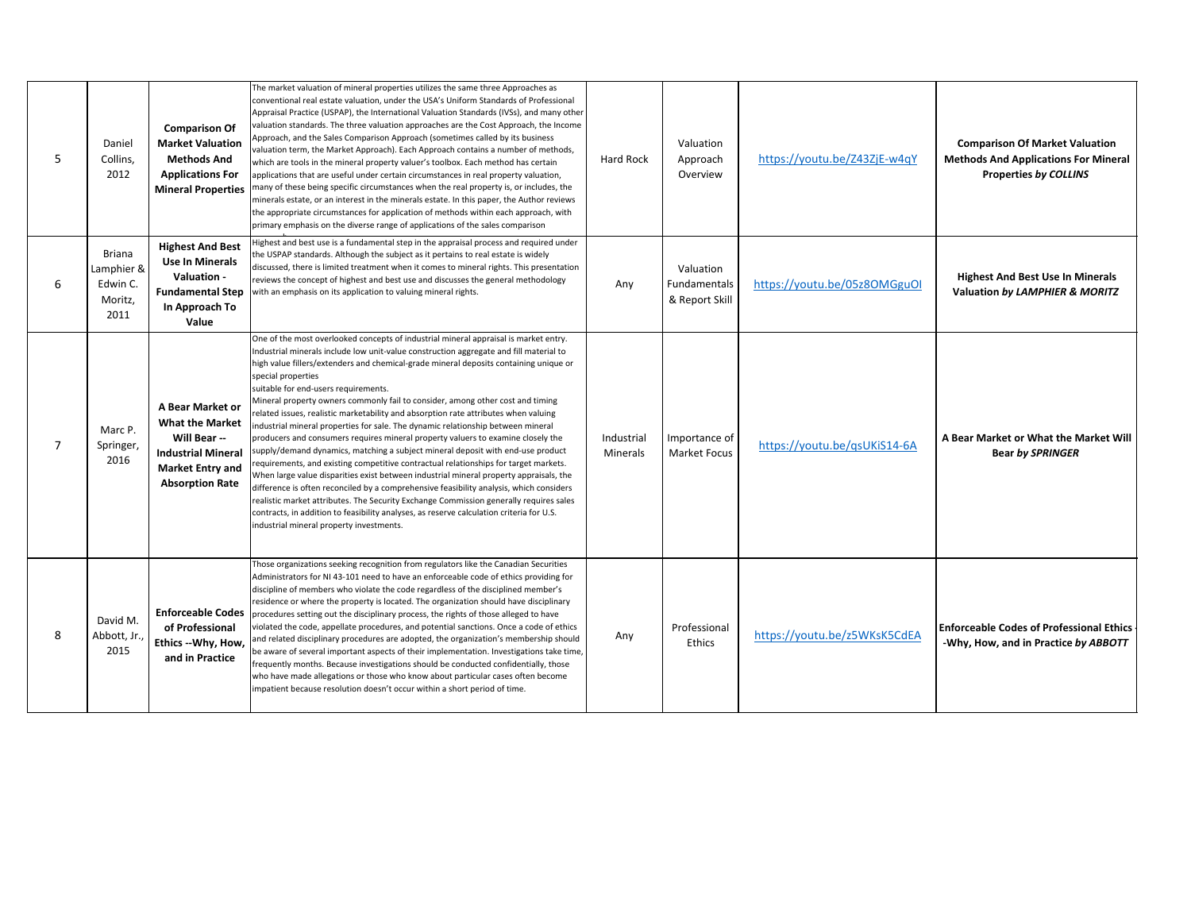| 5              | Daniel<br>Collins,<br>2012                                 | <b>Comparison Of</b><br><b>Market Valuation</b><br><b>Methods And</b><br><b>Applications For</b><br><b>Mineral Properties</b>                | The market valuation of mineral properties utilizes the same three Approaches as<br>conventional real estate valuation, under the USA's Uniform Standards of Professional<br>Appraisal Practice (USPAP), the International Valuation Standards (IVSs), and many other<br>valuation standards. The three valuation approaches are the Cost Approach, the Income<br>Approach, and the Sales Comparison Approach (sometimes called by its business<br>valuation term, the Market Approach). Each Approach contains a number of methods,<br>which are tools in the mineral property valuer's toolbox. Each method has certain<br>applications that are useful under certain circumstances in real property valuation,<br>many of these being specific circumstances when the real property is, or includes, the<br>minerals estate, or an interest in the minerals estate. In this paper, the Author reviews<br>the appropriate circumstances for application of methods within each approach, with<br>primary emphasis on the diverse range of applications of the sales comparison                                                                                                                                                                                                        | Hard Rock              | Valuation<br>Approach<br>Overview           | https://youtu.be/Z43ZjE-w4qY | <b>Comparison Of Market Valuation</b><br><b>Methods And Applications For Mineral</b><br><b>Properties by COLLINS</b> |
|----------------|------------------------------------------------------------|----------------------------------------------------------------------------------------------------------------------------------------------|-----------------------------------------------------------------------------------------------------------------------------------------------------------------------------------------------------------------------------------------------------------------------------------------------------------------------------------------------------------------------------------------------------------------------------------------------------------------------------------------------------------------------------------------------------------------------------------------------------------------------------------------------------------------------------------------------------------------------------------------------------------------------------------------------------------------------------------------------------------------------------------------------------------------------------------------------------------------------------------------------------------------------------------------------------------------------------------------------------------------------------------------------------------------------------------------------------------------------------------------------------------------------------------------|------------------------|---------------------------------------------|------------------------------|----------------------------------------------------------------------------------------------------------------------|
| 6              | <b>Briana</b><br>Lamphier &<br>Edwin C.<br>Moritz,<br>2011 | <b>Highest And Best</b><br><b>Use In Minerals</b><br>Valuation -<br><b>Fundamental Step</b><br>In Approach To<br>Value                       | Highest and best use is a fundamental step in the appraisal process and required under<br>the USPAP standards. Although the subject as it pertains to real estate is widely<br>discussed, there is limited treatment when it comes to mineral rights. This presentation<br>reviews the concept of highest and best use and discusses the general methodology<br>with an emphasis on its application to valuing mineral rights.                                                                                                                                                                                                                                                                                                                                                                                                                                                                                                                                                                                                                                                                                                                                                                                                                                                          | Any                    | Valuation<br>Fundamentals<br>& Report Skill | https://youtu.be/05z8OMGguOI | <b>Highest And Best Use In Minerals</b><br>Valuation by LAMPHIER & MORITZ                                            |
| $\overline{7}$ | Marc P.<br>Springer,<br>2016                               | A Bear Market or<br><b>What the Market</b><br>Will Bear --<br><b>Industrial Mineral</b><br><b>Market Entry and</b><br><b>Absorption Rate</b> | One of the most overlooked concepts of industrial mineral appraisal is market entry.<br>Industrial minerals include low unit-value construction aggregate and fill material to<br>high value fillers/extenders and chemical-grade mineral deposits containing unique or<br>special properties<br>suitable for end-users requirements.<br>Mineral property owners commonly fail to consider, among other cost and timing<br>related issues, realistic marketability and absorption rate attributes when valuing<br>ndustrial mineral properties for sale. The dynamic relationship between mineral<br>producers and consumers requires mineral property valuers to examine closely the<br>supply/demand dynamics, matching a subject mineral deposit with end-use product<br>requirements, and existing competitive contractual relationships for target markets.<br>When large value disparities exist between industrial mineral property appraisals, the<br>difference is often reconciled by a comprehensive feasibility analysis, which considers<br>realistic market attributes. The Security Exchange Commission generally requires sales<br>contracts, in addition to feasibility analyses, as reserve calculation criteria for U.S.<br>industrial mineral property investments. | Industrial<br>Minerals | Importance of<br><b>Market Focus</b>        | https://youtu.be/qsUKiS14-6A | A Bear Market or What the Market Will<br><b>Bear by SPRINGER</b>                                                     |
| 8              | David M.<br>Abbott, Jr.,<br>2015                           | <b>Enforceable Codes</b><br>of Professional<br>Ethics -- Why, How,<br>and in Practice                                                        | Those organizations seeking recognition from regulators like the Canadian Securities<br>Administrators for NI 43-101 need to have an enforceable code of ethics providing for<br>discipline of members who violate the code regardless of the disciplined member's<br>residence or where the property is located. The organization should have disciplinary<br>procedures setting out the disciplinary process, the rights of those alleged to have<br>violated the code, appellate procedures, and potential sanctions. Once a code of ethics<br>and related disciplinary procedures are adopted, the organization's membership should<br>be aware of several important aspects of their implementation. Investigations take time,<br>frequently months. Because investigations should be conducted confidentially, those<br>who have made allegations or those who know about particular cases often become<br>mpatient because resolution doesn't occur within a short period of time.                                                                                                                                                                                                                                                                                               | Any                    | Professional<br>Ethics                      | https://youtu.be/z5WKsK5CdEA | <b>Enforceable Codes of Professional Ethics</b><br>-Why, How, and in Practice by ABBOTT                              |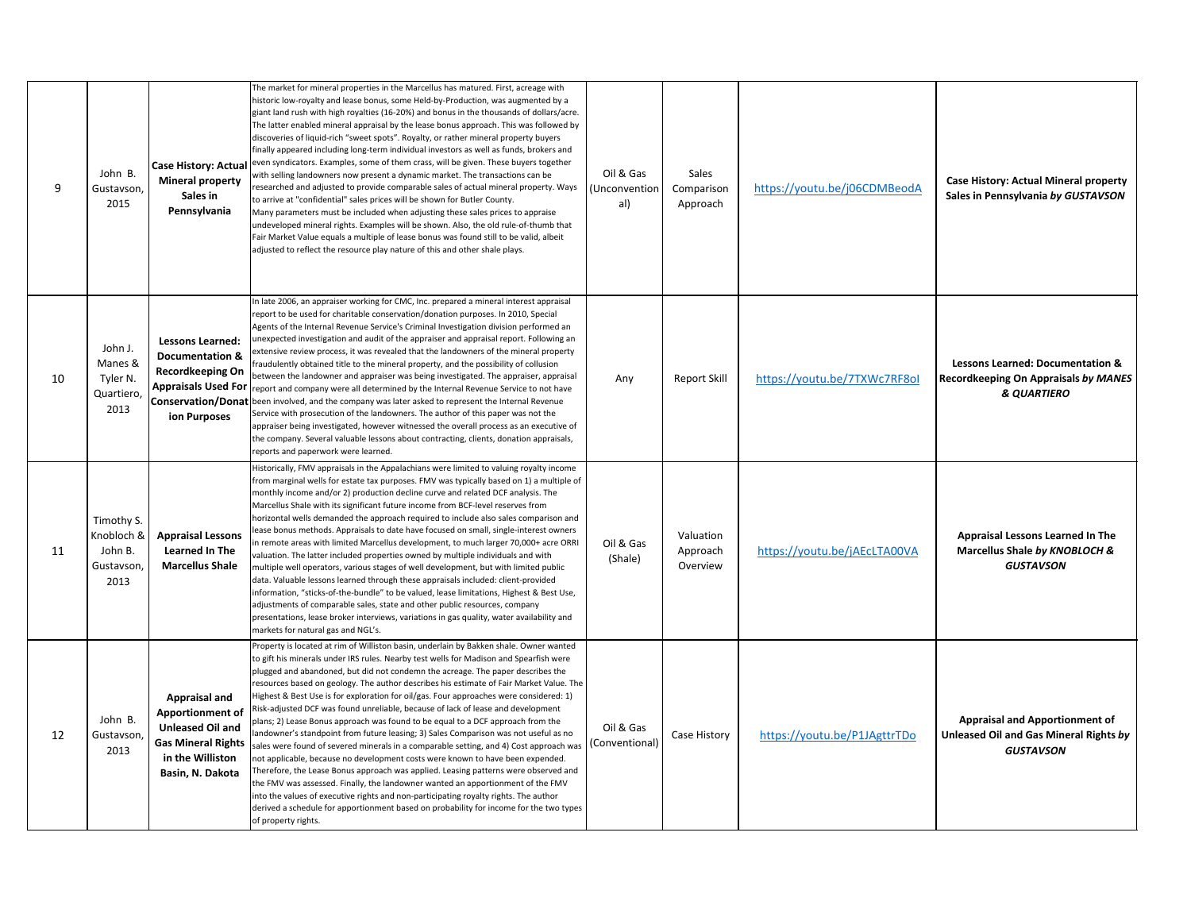| 9  | John B.<br>Gustavson,<br>2015                            | <b>Mineral property</b><br>Sales in<br>Pennsylvania                                                                               | The market for mineral properties in the Marcellus has matured. First, acreage with<br>historic low-royalty and lease bonus, some Held-by-Production, was augmented by a<br>giant land rush with high royalties (16-20%) and bonus in the thousands of dollars/acre.<br>The latter enabled mineral appraisal by the lease bonus approach. This was followed by<br>discoveries of liquid-rich "sweet spots". Royalty, or rather mineral property buyers<br>finally appeared including long-term individual investors as well as funds, brokers and<br>Case History: Actual even syndicators. Examples, some of them crass, will be given. These buyers together<br>with selling landowners now present a dynamic market. The transactions can be<br>researched and adjusted to provide comparable sales of actual mineral property. Ways<br>to arrive at "confidential" sales prices will be shown for Butler County.<br>Many parameters must be included when adjusting these sales prices to appraise<br>undeveloped mineral rights. Examples will be shown. Also, the old rule-of-thumb that<br>Fair Market Value equals a multiple of lease bonus was found still to be valid, albeit<br>adjusted to reflect the resource play nature of this and other shale plays.               | Oil & Gas<br>(Unconvention<br>al) | Sales<br>Comparison<br>Approach   | https://youtu.be/j06CDMBeodA | Case History: Actual Mineral property<br>Sales in Pennsylvania by GUSTAVSON                         |
|----|----------------------------------------------------------|-----------------------------------------------------------------------------------------------------------------------------------|---------------------------------------------------------------------------------------------------------------------------------------------------------------------------------------------------------------------------------------------------------------------------------------------------------------------------------------------------------------------------------------------------------------------------------------------------------------------------------------------------------------------------------------------------------------------------------------------------------------------------------------------------------------------------------------------------------------------------------------------------------------------------------------------------------------------------------------------------------------------------------------------------------------------------------------------------------------------------------------------------------------------------------------------------------------------------------------------------------------------------------------------------------------------------------------------------------------------------------------------------------------------------------------|-----------------------------------|-----------------------------------|------------------------------|-----------------------------------------------------------------------------------------------------|
| 10 | John J.<br>Manes &<br>Tyler N.<br>Quartiero,<br>2013     | <b>Lessons Learned:</b><br><b>Documentation &amp;</b><br>Recordkeeping On<br><b>Appraisals Used For</b><br>ion Purposes           | In late 2006, an appraiser working for CMC, Inc. prepared a mineral interest appraisal<br>report to be used for charitable conservation/donation purposes. In 2010, Special<br>Agents of the Internal Revenue Service's Criminal Investigation division performed an<br>unexpected investigation and audit of the appraiser and appraisal report. Following an<br>extensive review process, it was revealed that the landowners of the mineral property<br>fraudulently obtained title to the mineral property, and the possibility of collusion<br>between the landowner and appraiser was being investigated. The appraiser, appraisal<br>report and company were all determined by the Internal Revenue Service to not have<br>Conservation/Donat been involved, and the company was later asked to represent the Internal Revenue<br>Service with prosecution of the landowners. The author of this paper was not the<br>appraiser being investigated, however witnessed the overall process as an executive of<br>the company. Several valuable lessons about contracting, clients, donation appraisals,<br>reports and paperwork were learned.                                                                                                                                  | Any                               | <b>Report Skill</b>               | https://youtu.be/7TXWc7RF8ol | <b>Lessons Learned: Documentation &amp;</b><br>Recordkeeping On Appraisals by MANES<br>& QUARTIERO  |
| 11 | Timothy S.<br>Knobloch &<br>John B.<br>Gustavson<br>2013 | <b>Appraisal Lessons</b><br><b>Learned In The</b><br><b>Marcellus Shale</b>                                                       | Historically, FMV appraisals in the Appalachians were limited to valuing royalty income<br>from marginal wells for estate tax purposes. FMV was typically based on 1) a multiple of<br>monthly income and/or 2) production decline curve and related DCF analysis. The<br>Marcellus Shale with its significant future income from BCF-level reserves from<br>horizontal wells demanded the approach required to include also sales comparison and<br>ease bonus methods. Appraisals to date have focused on small, single-interest owners<br>n remote areas with limited Marcellus development, to much larger 70,000+ acre ORRI<br>valuation. The latter included properties owned by multiple individuals and with<br>multiple well operators, various stages of well development, but with limited public<br>data. Valuable lessons learned through these appraisals included: client-provided<br>information, "sticks-of-the-bundle" to be valued, lease limitations, Highest & Best Use,<br>adjustments of comparable sales, state and other public resources, company<br>presentations, lease broker interviews, variations in gas quality, water availability and<br>markets for natural gas and NGL's.                                                                        | Oil & Gas<br>(Shale)              | Valuation<br>Approach<br>Overview | https://youtu.be/jAEcLTA00VA | Appraisal Lessons Learned In The<br>Marcellus Shale by KNOBLOCH &<br><b>GUSTAVSON</b>               |
| 12 | John B.<br>Gustavson<br>2013                             | Appraisal and<br>Apportionment of<br><b>Unleased Oil and</b><br><b>Gas Mineral Rights</b><br>in the Williston<br>Basin, N. Dakota | Property is located at rim of Williston basin, underlain by Bakken shale. Owner wanted<br>to gift his minerals under IRS rules. Nearby test wells for Madison and Spearfish were<br>plugged and abandoned, but did not condemn the acreage. The paper describes the<br>resources based on geology. The author describes his estimate of Fair Market Value. The<br>Highest & Best Use is for exploration for oil/gas. Four approaches were considered: 1)<br>Risk-adjusted DCF was found unreliable, because of lack of lease and development<br>plans; 2) Lease Bonus approach was found to be equal to a DCF approach from the<br>andowner's standpoint from future leasing; 3) Sales Comparison was not useful as no<br>sales were found of severed minerals in a comparable setting, and 4) Cost approach was<br>not applicable, because no development costs were known to have been expended.<br>Therefore, the Lease Bonus approach was applied. Leasing patterns were observed and<br>the FMV was assessed. Finally, the landowner wanted an apportionment of the FMV<br>into the values of executive rights and non-participating royalty rights. The author<br>derived a schedule for apportionment based on probability for income for the two types<br>of property rights. | Oil & Gas<br>(Conventional)       | Case History                      | https://youtu.be/P1JAgttrTDo | <b>Appraisal and Apportionment of</b><br>Unleased Oil and Gas Mineral Rights by<br><b>GUSTAVSON</b> |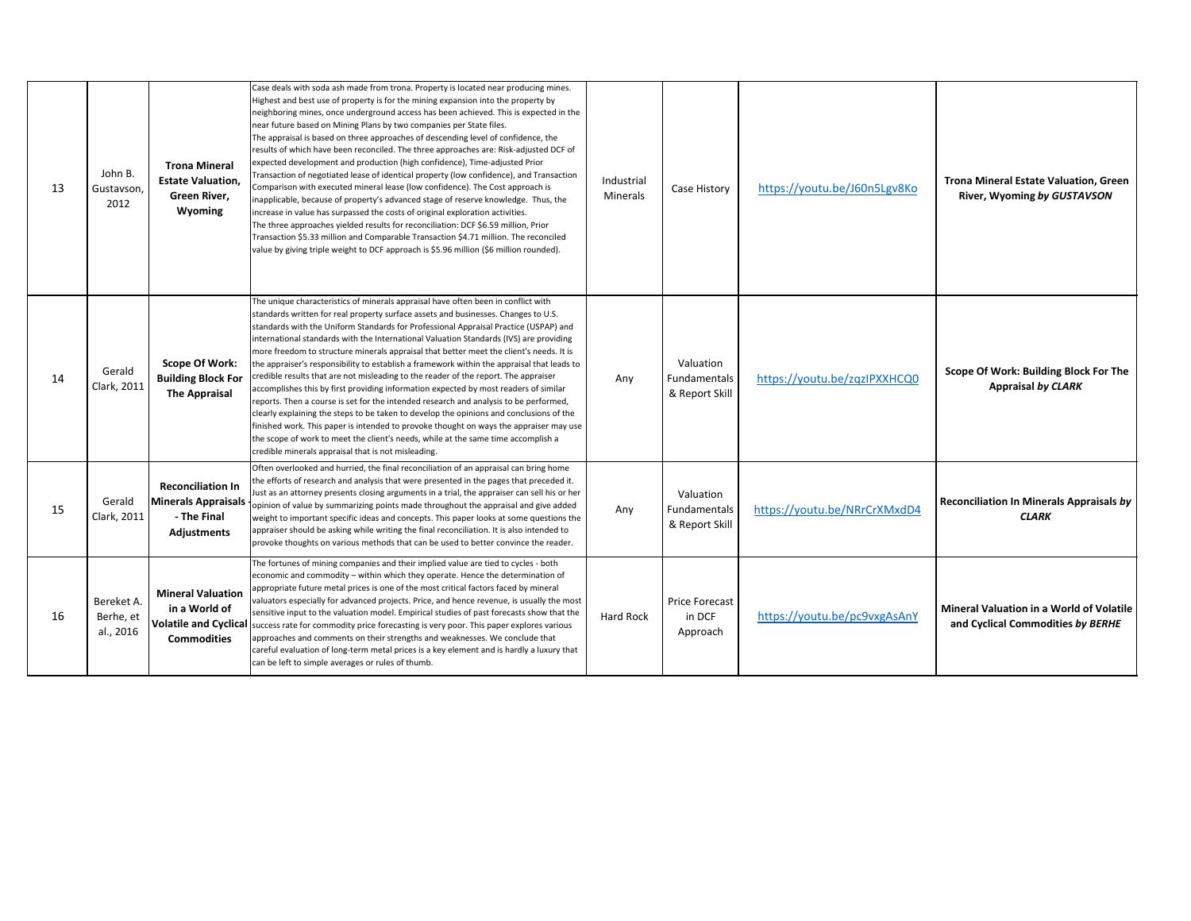| 13 | John B.<br>Gustavson,<br>2012        | <b>Trona Mineral</b><br><b>Estate Valuation,</b><br>Green River,<br>Wyoming                     | Case deals with soda ash made from trona. Property is located near producing mines.<br>Highest and best use of property is for the mining expansion into the property by<br>neighboring mines, once underground access has been achieved. This is expected in the<br>near future based on Mining Plans by two companies per State files.<br>The appraisal is based on three approaches of descending level of confidence, the<br>results of which have been reconciled. The three approaches are: Risk-adjusted DCF of<br>expected development and production (high confidence), Time-adjusted Prior<br>Fransaction of negotiated lease of identical property (low confidence), and Transaction<br>Comparison with executed mineral lease (low confidence). The Cost approach is<br>inapplicable, because of property's advanced stage of reserve knowledge. Thus, the<br>increase in value has surpassed the costs of original exploration activities.<br>The three approaches yielded results for reconciliation: DCF \$6.59 million, Prior<br>Transaction \$5.33 million and Comparable Transaction \$4.71 million. The reconciled<br>value by giving triple weight to DCF approach is \$5.96 million (\$6 million rounded). | Industrial<br>Minerals | Case History                                | https://youtu.be/J60n5Lgv8Ko | <b>Trona Mineral Estate Valuation, Green</b><br>River, Wyoming by GUSTAVSON          |
|----|--------------------------------------|-------------------------------------------------------------------------------------------------|---------------------------------------------------------------------------------------------------------------------------------------------------------------------------------------------------------------------------------------------------------------------------------------------------------------------------------------------------------------------------------------------------------------------------------------------------------------------------------------------------------------------------------------------------------------------------------------------------------------------------------------------------------------------------------------------------------------------------------------------------------------------------------------------------------------------------------------------------------------------------------------------------------------------------------------------------------------------------------------------------------------------------------------------------------------------------------------------------------------------------------------------------------------------------------------------------------------------------------|------------------------|---------------------------------------------|------------------------------|--------------------------------------------------------------------------------------|
| 14 | Gerald<br>Clark, 2011                | <b>Scope Of Work:</b><br><b>Building Block For</b><br><b>The Appraisal</b>                      | The unique characteristics of minerals appraisal have often been in conflict with<br>standards written for real property surface assets and businesses. Changes to U.S.<br>standards with the Uniform Standards for Professional Appraisal Practice (USPAP) and<br>international standards with the International Valuation Standards (IVS) are providing<br>more freedom to structure minerals appraisal that better meet the client's needs. It is<br>the appraiser's responsibility to establish a framework within the appraisal that leads to<br>credible results that are not misleading to the reader of the report. The appraiser<br>accomplishes this by first providing information expected by most readers of similar<br>reports. Then a course is set for the intended research and analysis to be performed,<br>clearly explaining the steps to be taken to develop the opinions and conclusions of the<br>finished work. This paper is intended to provoke thought on ways the appraiser may use<br>the scope of work to meet the client's needs, while at the same time accomplish a<br>credible minerals appraisal that is not misleading.                                                                     | Any                    | Valuation<br>Fundamentals<br>& Report Skill | https://youtu.be/zqzIPXXHCQ0 | Scope Of Work: Building Block For The<br><b>Appraisal by CLARK</b>                   |
| 15 | Gerald<br>Clark, 2011                | <b>Reconciliation In</b><br>Minerals Appraisals<br>- The Final<br><b>Adjustments</b>            | Often overlooked and hurried, the final reconciliation of an appraisal can bring home<br>the efforts of research and analysis that were presented in the pages that preceded it.<br>ust as an attorney presents closing arguments in a trial, the appraiser can sell his or her<br>opinion of value by summarizing points made throughout the appraisal and give added<br>weight to important specific ideas and concepts. This paper looks at some questions the<br>appraiser should be asking while writing the final reconciliation. It is also intended to<br>provoke thoughts on various methods that can be used to better convince the reader.                                                                                                                                                                                                                                                                                                                                                                                                                                                                                                                                                                           | Any                    | Valuation<br>Fundamentals<br>& Report Skill | https://voutu.be/NRrCrXMxdD4 | Reconciliation In Minerals Appraisals by<br><b>CLARK</b>                             |
| 16 | Bereket A.<br>Berhe, et<br>al., 2016 | <b>Mineral Valuation</b><br>in a World of<br><b>Volatile and Cyclical</b><br><b>Commodities</b> | The fortunes of mining companies and their implied value are tied to cycles - both<br>economic and commodity - within which they operate. Hence the determination of<br>appropriate future metal prices is one of the most critical factors faced by mineral<br>valuators especially for advanced projects. Price, and hence revenue, is usually the most<br>sensitive input to the valuation model. Empirical studies of past forecasts show that the<br>success rate for commodity price forecasting is very poor. This paper explores various<br>approaches and comments on their strengths and weaknesses. We conclude that<br>careful evaluation of long-term metal prices is a key element and is hardly a luxury that<br>can be left to simple averages or rules of thumb.                                                                                                                                                                                                                                                                                                                                                                                                                                               | <b>Hard Rock</b>       | <b>Price Forecast</b><br>in DCF<br>Approach | https://voutu.be/pc9vxgAsAnY | <b>Mineral Valuation in a World of Volatile</b><br>and Cyclical Commodities by BERHE |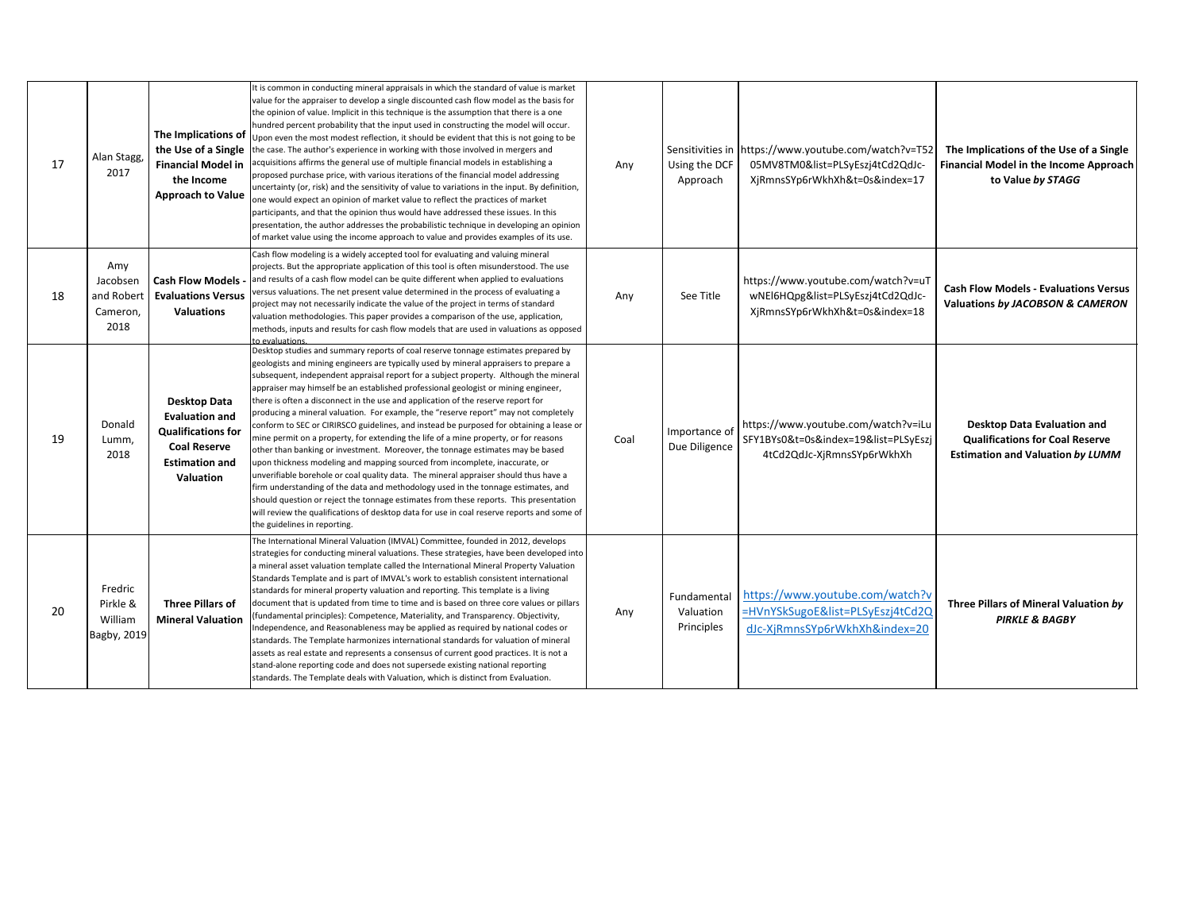| 17 | Alan Stagg,<br>2017                               | The Implications of<br>the Use of a Single<br><b>Financial Model in</b><br>the Income<br><b>Approach to Value</b>               | It is common in conducting mineral appraisals in which the standard of value is market<br>value for the appraiser to develop a single discounted cash flow model as the basis for<br>the opinion of value. Implicit in this technique is the assumption that there is a one<br>hundred percent probability that the input used in constructing the model will occur.<br>Upon even the most modest reflection, it should be evident that this is not going to be<br>the case. The author's experience in working with those involved in mergers and<br>acquisitions affirms the general use of multiple financial models in establishing a<br>proposed purchase price, with various iterations of the financial model addressing<br>uncertainty (or, risk) and the sensitivity of value to variations in the input. By definition,<br>one would expect an opinion of market value to reflect the practices of market<br>participants, and that the opinion thus would have addressed these issues. In this<br>presentation, the author addresses the probabilistic technique in developing an opinion<br>of market value using the income approach to value and provides examples of its use.                                                                                                 | Any  | Sensitivities in<br>Using the DCF<br>Approach | https://www.youtube.com/watch?v=T52<br>05MV8TM0&list=PLSyEszj4tCd2QdJc-<br>XjRmnsSYp6rWkhXh&t=0s&index=17 | The Implications of the Use of a Single<br>Financial Model in the Income Approach<br>to Value by STAGG           |
|----|---------------------------------------------------|---------------------------------------------------------------------------------------------------------------------------------|----------------------------------------------------------------------------------------------------------------------------------------------------------------------------------------------------------------------------------------------------------------------------------------------------------------------------------------------------------------------------------------------------------------------------------------------------------------------------------------------------------------------------------------------------------------------------------------------------------------------------------------------------------------------------------------------------------------------------------------------------------------------------------------------------------------------------------------------------------------------------------------------------------------------------------------------------------------------------------------------------------------------------------------------------------------------------------------------------------------------------------------------------------------------------------------------------------------------------------------------------------------------------------------------|------|-----------------------------------------------|-----------------------------------------------------------------------------------------------------------|------------------------------------------------------------------------------------------------------------------|
| 18 | Amy<br>Jacobsen<br>and Robert<br>Cameron,<br>2018 | Cash Flow Models -<br><b>Evaluations Versus</b><br><b>Valuations</b>                                                            | Cash flow modeling is a widely accepted tool for evaluating and valuing mineral<br>projects. But the appropriate application of this tool is often misunderstood. The use<br>and results of a cash flow model can be quite different when applied to evaluations<br>versus valuations. The net present value determined in the process of evaluating a<br>project may not necessarily indicate the value of the project in terms of standard<br>valuation methodologies. This paper provides a comparison of the use, application,<br>methods, inputs and results for cash flow models that are used in valuations as opposed<br>n evaluations                                                                                                                                                                                                                                                                                                                                                                                                                                                                                                                                                                                                                                               | Any  | See Title                                     | https://www.youtube.com/watch?v=uT<br>wNEI6HQpg&list=PLSyEszj4tCd2QdJc-<br>XjRmnsSYp6rWkhXh&t=0s&index=18 | <b>Cash Flow Models - Evaluations Versus</b><br>Valuations by JACOBSON & CAMERON                                 |
| 19 | Donald<br>Lumm,<br>2018                           | Desktop Data<br><b>Evaluation and</b><br><b>Qualifications for</b><br><b>Coal Reserve</b><br><b>Estimation and</b><br>Valuation | Desktop studies and summary reports of coal reserve tonnage estimates prepared by<br>geologists and mining engineers are typically used by mineral appraisers to prepare a<br>subsequent, independent appraisal report for a subject property. Although the mineral<br>appraiser may himself be an established professional geologist or mining engineer,<br>there is often a disconnect in the use and application of the reserve report for<br>producing a mineral valuation. For example, the "reserve report" may not completely<br>conform to SEC or CIRIRSCO guidelines, and instead be purposed for obtaining a lease or<br>mine permit on a property, for extending the life of a mine property, or for reasons<br>other than banking or investment. Moreover, the tonnage estimates may be based<br>upon thickness modeling and mapping sourced from incomplete, inaccurate, or<br>unverifiable borehole or coal quality data. The mineral appraiser should thus have a<br>firm understanding of the data and methodology used in the tonnage estimates, and<br>should question or reject the tonnage estimates from these reports. This presentation<br>will review the qualifications of desktop data for use in coal reserve reports and some of<br>the guidelines in reporting. | Coal | Importance of<br>Due Diligence                | https://www.youtube.com/watch?v=iLu<br>SFY1BYs0&t=0s&index=19&list=PLSyEszj<br>4tCd2QdJc-XjRmnsSYp6rWkhXh | Desktop Data Evaluation and<br><b>Qualifications for Coal Reserve</b><br><b>Estimation and Valuation by LUMM</b> |
| 20 | Fredric<br>Pirkle &<br>William<br>Bagby, 2019     | <b>Three Pillars of</b><br><b>Mineral Valuation</b>                                                                             | The International Mineral Valuation (IMVAL) Committee, founded in 2012, develops<br>strategies for conducting mineral valuations. These strategies, have been developed into<br>a mineral asset valuation template called the International Mineral Property Valuation<br>Standards Template and is part of IMVAL's work to establish consistent international<br>standards for mineral property valuation and reporting. This template is a living<br>document that is updated from time to time and is based on three core values or pillars<br>[fundamental principles): Competence, Materiality, and Transparency. Objectivity,<br>Independence, and Reasonableness may be applied as required by national codes or<br>standards. The Template harmonizes international standards for valuation of mineral<br>assets as real estate and represents a consensus of current good practices. It is not a<br>stand-alone reporting code and does not supersede existing national reporting<br>standards. The Template deals with Valuation, which is distinct from Evaluation.                                                                                                                                                                                                               | Any  | Fundamental<br>Valuation<br>Principles        | https://www.youtube.com/watch?v<br>=HVnYSkSugoE&list=PLSyEszj4tCd2Q<br>dJc-XjRmnsSYp6rWkhXh&index=20      | Three Pillars of Mineral Valuation by<br><b>PIRKLE &amp; BAGBY</b>                                               |